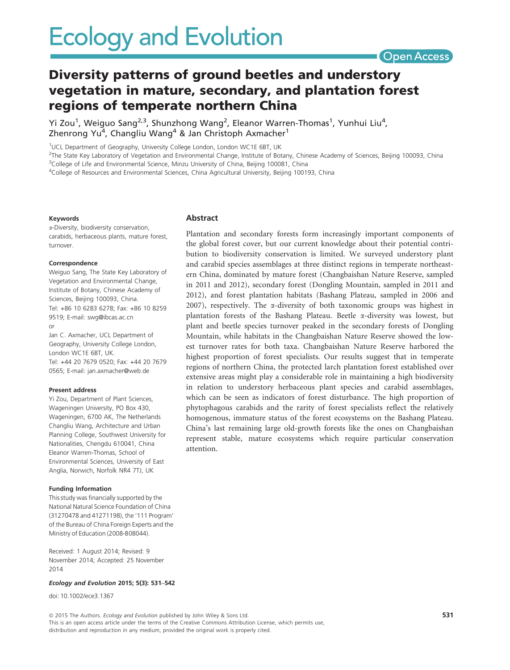

# Diversity patterns of ground beetles and understory vegetation in mature, secondary, and plantation forest regions of temperate northern China

Yi Zou<sup>1</sup>, Weiguo Sang<sup>2,3</sup>, Shunzhong Wang<sup>2</sup>, Eleanor Warren-Thomas<sup>1</sup>, Yunhui Liu<sup>4</sup>, Zhenrong Yu<sup>4</sup>, Changliu Wang<sup>4</sup> & Jan Christoph Axmacher<sup>1</sup>

<sup>1</sup>UCL Department of Geography, University College London, London WC1E 6BT, UK

2 The State Key Laboratory of Vegetation and Environmental Change, Institute of Botany, Chinese Academy of Sciences, Beijing 100093, China

<sup>3</sup>College of Life and Environmental Science, Minzu University of China, Beijing 100081, China

4 College of Resources and Environmental Sciences, China Agricultural University, Beijing 100193, China

#### Keywords

a-Diversity, biodiversity conservation, carabids, herbaceous plants, mature forest, turnover.

#### Correspondence

Weiguo Sang, The State Key Laboratory of Vegetation and Environmental Change, Institute of Botany, Chinese Academy of Sciences, Beijing 100093, China. Tel: +86 10 6283 6278; Fax: +86 10 8259 9519; E-mail: swg@ibcas.ac.cn or

Jan C. Axmacher, UCL Department of Geography, University College London, London WC1E 6BT, UK. Tel: +44 20 7679 0520; Fax: +44 20 7679 0565; E-mail: jan.axmacher@web.de

#### Present address

Yi Zou, Department of Plant Sciences, Wageningen University, PO Box 430, Wageningen, 6700 AK, The Netherlands Changliu Wang, Architecture and Urban Planning College, Southwest University for Nationalities, Chengdu 610041, China Eleanor Warren-Thomas, School of Environmental Sciences, University of East Anglia, Norwich, Norfolk NR4 7TJ, UK

#### Funding Information

This study was financially supported by the National Natural Science Foundation of China (31270478 and 41271198), the '111 Program' of the Bureau of China Foreign Experts and the Ministry of Education (2008-B08044).

Received: 1 August 2014; Revised: 9 November 2014; Accepted: 25 November 2014

#### Ecology and Evolution 2015; 5(3): 531–542

doi: 10.1002/ece3.1367

#### Abstract

Plantation and secondary forests form increasingly important components of the global forest cover, but our current knowledge about their potential contribution to biodiversity conservation is limited. We surveyed understory plant and carabid species assemblages at three distinct regions in temperate northeastern China, dominated by mature forest (Changbaishan Nature Reserve, sampled in 2011 and 2012), secondary forest (Dongling Mountain, sampled in 2011 and 2012), and forest plantation habitats (Bashang Plateau, sampled in 2006 and 2007), respectively. The  $\alpha$ -diversity of both taxonomic groups was highest in plantation forests of the Bashang Plateau. Beetle a-diversity was lowest, but plant and beetle species turnover peaked in the secondary forests of Dongling Mountain, while habitats in the Changbaishan Nature Reserve showed the lowest turnover rates for both taxa. Changbaishan Nature Reserve harbored the highest proportion of forest specialists. Our results suggest that in temperate regions of northern China, the protected larch plantation forest established over extensive areas might play a considerable role in maintaining a high biodiversity in relation to understory herbaceous plant species and carabid assemblages, which can be seen as indicators of forest disturbance. The high proportion of phytophagous carabids and the rarity of forest specialists reflect the relatively homogenous, immature status of the forest ecosystems on the Bashang Plateau. China's last remaining large old-growth forests like the ones on Changbaishan represent stable, mature ecosystems which require particular conservation attention.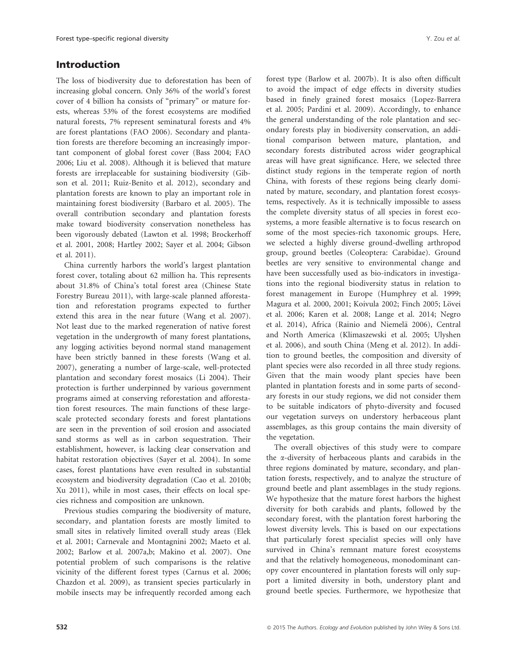# Introduction

The loss of biodiversity due to deforestation has been of increasing global concern. Only 36% of the world's forest cover of 4 billion ha consists of "primary" or mature forests, whereas 53% of the forest ecosystems are modified natural forests, 7% represent seminatural forests and 4% are forest plantations (FAO 2006). Secondary and plantation forests are therefore becoming an increasingly important component of global forest cover (Bass 2004; FAO 2006; Liu et al. 2008). Although it is believed that mature forests are irreplaceable for sustaining biodiversity (Gibson et al. 2011; Ruiz-Benito et al. 2012), secondary and plantation forests are known to play an important role in maintaining forest biodiversity (Barbaro et al. 2005). The overall contribution secondary and plantation forests make toward biodiversity conservation nonetheless has been vigorously debated (Lawton et al. 1998; Brockerhoff et al. 2001, 2008; Hartley 2002; Sayer et al. 2004; Gibson et al. 2011).

China currently harbors the world's largest plantation forest cover, totaling about 62 million ha. This represents about 31.8% of China's total forest area (Chinese State Forestry Bureau 2011), with large-scale planned afforestation and reforestation programs expected to further extend this area in the near future (Wang et al. 2007). Not least due to the marked regeneration of native forest vegetation in the undergrowth of many forest plantations, any logging activities beyond normal stand management have been strictly banned in these forests (Wang et al. 2007), generating a number of large-scale, well-protected plantation and secondary forest mosaics (Li 2004). Their protection is further underpinned by various government programs aimed at conserving reforestation and afforestation forest resources. The main functions of these largescale protected secondary forests and forest plantations are seen in the prevention of soil erosion and associated sand storms as well as in carbon sequestration. Their establishment, however, is lacking clear conservation and habitat restoration objectives (Sayer et al. 2004). In some cases, forest plantations have even resulted in substantial ecosystem and biodiversity degradation (Cao et al. 2010b; Xu 2011), while in most cases, their effects on local species richness and composition are unknown.

Previous studies comparing the biodiversity of mature, secondary, and plantation forests are mostly limited to small sites in relatively limited overall study areas (Elek et al. 2001; Carnevale and Montagnini 2002; Maeto et al. 2002; Barlow et al. 2007a,b; Makino et al. 2007). One potential problem of such comparisons is the relative vicinity of the different forest types (Carnus et al. 2006; Chazdon et al. 2009), as transient species particularly in mobile insects may be infrequently recorded among each forest type (Barlow et al. 2007b). It is also often difficult to avoid the impact of edge effects in diversity studies based in finely grained forest mosaics (Lopez-Barrera et al. 2005; Pardini et al. 2009). Accordingly, to enhance the general understanding of the role plantation and secondary forests play in biodiversity conservation, an additional comparison between mature, plantation, and secondary forests distributed across wider geographical areas will have great significance. Here, we selected three distinct study regions in the temperate region of north China, with forests of these regions being clearly dominated by mature, secondary, and plantation forest ecosystems, respectively. As it is technically impossible to assess the complete diversity status of all species in forest ecosystems, a more feasible alternative is to focus research on some of the most species-rich taxonomic groups. Here, we selected a highly diverse ground-dwelling arthropod group, ground beetles (Coleoptera: Carabidae). Ground beetles are very sensitive to environmental change and have been successfully used as bio-indicators in investigations into the regional biodiversity status in relation to forest management in Europe (Humphrey et al. 1999; Magura et al. 2000, 2001; Koivula 2002; Finch 2005; Lövei et al. 2006; Karen et al. 2008; Lange et al. 2014; Negro et al. 2014), Africa (Rainio and Niemelä 2006), Central and North America (Klimaszewski et al. 2005; Ulyshen et al. 2006), and south China (Meng et al. 2012). In addition to ground beetles, the composition and diversity of plant species were also recorded in all three study regions. Given that the main woody plant species have been planted in plantation forests and in some parts of secondary forests in our study regions, we did not consider them to be suitable indicators of phyto-diversity and focused our vegetation surveys on understory herbaceous plant assemblages, as this group contains the main diversity of the vegetation.

The overall objectives of this study were to compare the a-diversity of herbaceous plants and carabids in the three regions dominated by mature, secondary, and plantation forests, respectively, and to analyze the structure of ground beetle and plant assemblages in the study regions. We hypothesize that the mature forest harbors the highest diversity for both carabids and plants, followed by the secondary forest, with the plantation forest harboring the lowest diversity levels. This is based on our expectations that particularly forest specialist species will only have survived in China's remnant mature forest ecosystems and that the relatively homogeneous, monodominant canopy cover encountered in plantation forests will only support a limited diversity in both, understory plant and ground beetle species. Furthermore, we hypothesize that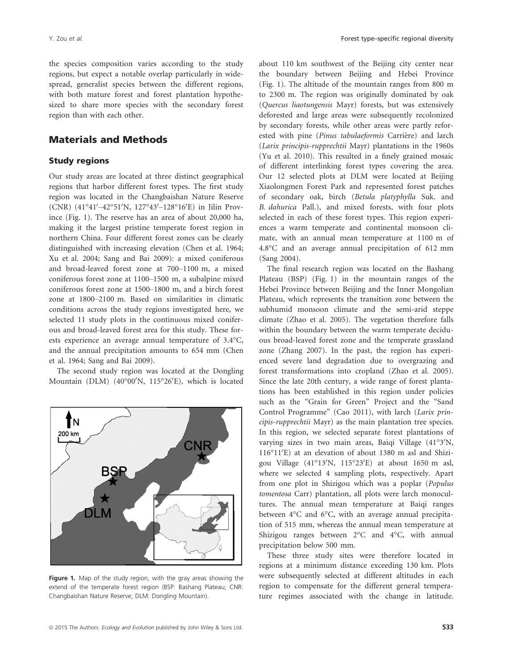the species composition varies according to the study regions, but expect a notable overlap particularly in widespread, generalist species between the different regions, with both mature forest and forest plantation hypothesized to share more species with the secondary forest region than with each other.

# Materials and Methods

### Study regions

Our study areas are located at three distinct geographical regions that harbor different forest types. The first study region was located in the Changbaishan Nature Reserve (CNR) (41°41′–42°51′N, 127°43′–128°16′E) in Jilin Province (Fig. 1). The reserve has an area of about 20,000 ha, making it the largest pristine temperate forest region in northern China. Four different forest zones can be clearly distinguished with increasing elevation (Chen et al. 1964; Xu et al. 2004; Sang and Bai 2009): a mixed coniferous and broad-leaved forest zone at 700–1100 m, a mixed coniferous forest zone at 1100–1500 m, a subalpine mixed coniferous forest zone at 1500–1800 m, and a birch forest zone at 1800–2100 m. Based on similarities in climatic conditions across the study regions investigated here, we selected 11 study plots in the continuous mixed coniferous and broad-leaved forest area for this study. These forests experience an average annual temperature of 3.4°C, and the annual precipitation amounts to 654 mm (Chen et al. 1964; Sang and Bai 2009).

The second study region was located at the Dongling Mountain (DLM) (40°00'N, 115°26'E), which is located



Figure 1. Map of the study region, with the gray areas showing the extend of the temperate forest region (BSP: Bashang Plateau; CNR: Changbaishan Nature Reserve; DLM: Dongling Mountain).

about 110 km southwest of the Beijing city center near the boundary between Beijing and Hebei Province (Fig. 1). The altitude of the mountain ranges from 800 m to 2300 m. The region was originally dominated by oak (Quercus liaotungensis Mayr) forests, but was extensively deforested and large areas were subsequently recolonized by secondary forests, while other areas were partly reforested with pine (Pinus tabulaeformis Carrière) and larch (Larix principis-rupprechtii Mayr) plantations in the 1960s (Yu et al. 2010). This resulted in a finely grained mosaic of different interlinking forest types covering the area. Our 12 selected plots at DLM were located at Beijing Xiaolongmen Forest Park and represented forest patches of secondary oak, birch (Betula platyphylla Suk. and B. dahurica Pall.), and mixed forests, with four plots selected in each of these forest types. This region experiences a warm temperate and continental monsoon climate, with an annual mean temperature at 1100 m of 4.8°C and an average annual precipitation of 612 mm (Sang 2004).

The final research region was located on the Bashang Plateau (BSP) (Fig. 1) in the mountain ranges of the Hebei Province between Beijing and the Inner Mongolian Plateau, which represents the transition zone between the subhumid monsoon climate and the semi-arid steppe climate (Zhao et al. 2005). The vegetation therefore falls within the boundary between the warm temperate deciduous broad-leaved forest zone and the temperate grassland zone (Zhang 2007). In the past, the region has experienced severe land degradation due to overgrazing and forest transformations into cropland (Zhao et al. 2005). Since the late 20th century, a wide range of forest plantations has been established in this region under policies such as the "Grain for Green" Project and the "Sand Control Programme" (Cao 2011), with larch (Larix principis-rupprechtii Mayr) as the main plantation tree species. In this region, we selected separate forest plantations of varying sizes in two main areas, Baiqi Village (41°3'N, 116°11'E) at an elevation of about 1380 m asl and Shizigou Village (41°13'N, 115°23'E) at about 1650 m asl, where we selected 4 sampling plots, respectively. Apart from one plot in Shizigou which was a poplar (Populus tomentosa Carr) plantation, all plots were larch monocultures. The annual mean temperature at Baiqi ranges between 4°C and 6°C, with an average annual precipitation of 515 mm, whereas the annual mean temperature at Shizigou ranges between 2°C and 4°C, with annual precipitation below 500 mm.

These three study sites were therefore located in regions at a minimum distance exceeding 130 km. Plots were subsequently selected at different altitudes in each region to compensate for the different general temperature regimes associated with the change in latitude.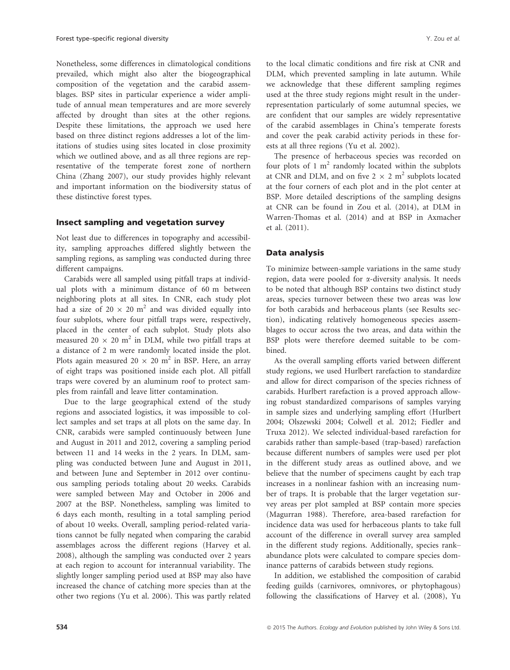Nonetheless, some differences in climatological conditions prevailed, which might also alter the biogeographical composition of the vegetation and the carabid assemblages. BSP sites in particular experience a wider amplitude of annual mean temperatures and are more severely affected by drought than sites at the other regions. Despite these limitations, the approach we used here based on three distinct regions addresses a lot of the limitations of studies using sites located in close proximity which we outlined above, and as all three regions are representative of the temperate forest zone of northern China (Zhang 2007), our study provides highly relevant and important information on the biodiversity status of these distinctive forest types.

### Insect sampling and vegetation survey

Not least due to differences in topography and accessibility, sampling approaches differed slightly between the sampling regions, as sampling was conducted during three different campaigns.

Carabids were all sampled using pitfall traps at individual plots with a minimum distance of 60 m between neighboring plots at all sites. In CNR, each study plot had a size of  $20 \times 20$  m<sup>2</sup> and was divided equally into four subplots, where four pitfall traps were, respectively, placed in the center of each subplot. Study plots also measured 20  $\times$  20 m<sup>2</sup> in DLM, while two pitfall traps at a distance of 2 m were randomly located inside the plot. Plots again measured  $20 \times 20$  m<sup>2</sup> in BSP. Here, an array of eight traps was positioned inside each plot. All pitfall traps were covered by an aluminum roof to protect samples from rainfall and leave litter contamination.

Due to the large geographical extend of the study regions and associated logistics, it was impossible to collect samples and set traps at all plots on the same day. In CNR, carabids were sampled continuously between June and August in 2011 and 2012, covering a sampling period between 11 and 14 weeks in the 2 years. In DLM, sampling was conducted between June and August in 2011, and between June and September in 2012 over continuous sampling periods totaling about 20 weeks. Carabids were sampled between May and October in 2006 and 2007 at the BSP. Nonetheless, sampling was limited to 6 days each month, resulting in a total sampling period of about 10 weeks. Overall, sampling period-related variations cannot be fully negated when comparing the carabid assemblages across the different regions (Harvey et al. 2008), although the sampling was conducted over 2 years at each region to account for interannual variability. The slightly longer sampling period used at BSP may also have increased the chance of catching more species than at the other two regions (Yu et al. 2006). This was partly related to the local climatic conditions and fire risk at CNR and DLM, which prevented sampling in late autumn. While we acknowledge that these different sampling regimes used at the three study regions might result in the underrepresentation particularly of some autumnal species, we are confident that our samples are widely representative of the carabid assemblages in China's temperate forests and cover the peak carabid activity periods in these forests at all three regions (Yu et al. 2002).

The presence of herbaceous species was recorded on four plots of 1  $m<sup>2</sup>$  randomly located within the subplots at CNR and DLM, and on five  $2 \times 2$  m<sup>2</sup> subplots located at the four corners of each plot and in the plot center at BSP. More detailed descriptions of the sampling designs at CNR can be found in Zou et al. (2014), at DLM in Warren-Thomas et al. (2014) and at BSP in Axmacher et al. (2011).

### Data analysis

To minimize between-sample variations in the same study region, data were pooled for a-diversity analysis. It needs to be noted that although BSP contains two distinct study areas, species turnover between these two areas was low for both carabids and herbaceous plants (see Results section), indicating relatively homogeneous species assemblages to occur across the two areas, and data within the BSP plots were therefore deemed suitable to be combined.

As the overall sampling efforts varied between different study regions, we used Hurlbert rarefaction to standardize and allow for direct comparison of the species richness of carabids. Hurlbert rarefaction is a proved approach allowing robust standardized comparisons of samples varying in sample sizes and underlying sampling effort (Hurlbert 2004; Olszewski 2004; Colwell et al. 2012; Fiedler and Truxa 2012). We selected individual-based rarefaction for carabids rather than sample-based (trap-based) rarefaction because different numbers of samples were used per plot in the different study areas as outlined above, and we believe that the number of specimens caught by each trap increases in a nonlinear fashion with an increasing number of traps. It is probable that the larger vegetation survey areas per plot sampled at BSP contain more species (Magurran 1988). Therefore, area-based rarefaction for incidence data was used for herbaceous plants to take full account of the difference in overall survey area sampled in the different study regions. Additionally, species rank– abundance plots were calculated to compare species dominance patterns of carabids between study regions.

In addition, we established the composition of carabid feeding guilds (carnivores, omnivores, or phytophagous) following the classifications of Harvey et al. (2008), Yu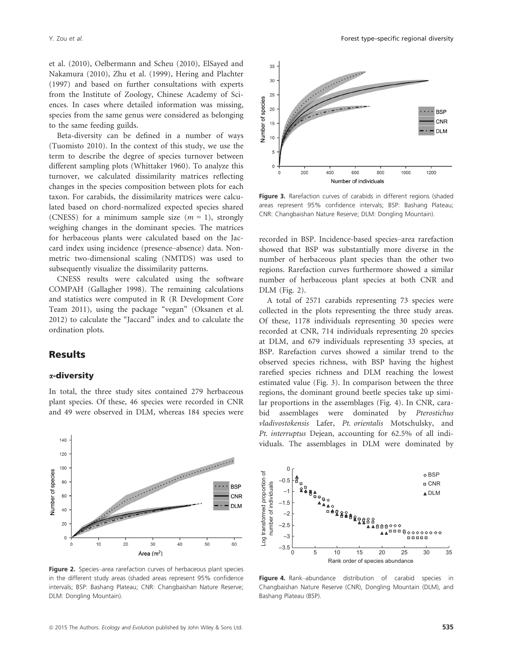et al. (2010), Oelbermann and Scheu (2010), ElSayed and Nakamura (2010), Zhu et al. (1999), Hering and Plachter (1997) and based on further consultations with experts from the Institute of Zoology, Chinese Academy of Sciences. In cases where detailed information was missing, species from the same genus were considered as belonging to the same feeding guilds.

Beta-diversity can be defined in a number of ways (Tuomisto 2010). In the context of this study, we use the term to describe the degree of species turnover between different sampling plots (Whittaker 1960). To analyze this turnover, we calculated dissimilarity matrices reflecting changes in the species composition between plots for each taxon. For carabids, the dissimilarity matrices were calculated based on chord-normalized expected species shared (CNESS) for a minimum sample size  $(m = 1)$ , strongly weighing changes in the dominant species. The matrices for herbaceous plants were calculated based on the Jaccard index using incidence (presence–absence) data. Nonmetric two-dimensional scaling (NMTDS) was used to subsequently visualize the dissimilarity patterns.

CNESS results were calculated using the software COMPAH (Gallagher 1998). The remaining calculations and statistics were computed in R (R Development Core Team 2011), using the package "vegan" (Oksanen et al. 2012) to calculate the "Jaccard" index and to calculate the ordination plots.

# Results

### a-diversity

In total, the three study sites contained 279 herbaceous plant species. Of these, 46 species were recorded in CNR and 49 were observed in DLM, whereas 184 species were



Figure 2. Species–area rarefaction curves of herbaceous plant species in the different study areas (shaded areas represent 95% confidence intervals; BSP: Bashang Plateau; CNR: Changbaishan Nature Reserve; DLM: Dongling Mountain).



Figure 3. Rarefaction curves of carabids in different regions (shaded areas represent 95% confidence intervals; BSP: Bashang Plateau; CNR: Changbaishan Nature Reserve; DLM: Dongling Mountain).

recorded in BSP. Incidence-based species–area rarefaction showed that BSP was substantially more diverse in the number of herbaceous plant species than the other two regions. Rarefaction curves furthermore showed a similar number of herbaceous plant species at both CNR and DLM (Fig. 2).

A total of 2571 carabids representing 73 species were collected in the plots representing the three study areas. Of these, 1178 individuals representing 30 species were recorded at CNR, 714 individuals representing 20 species at DLM, and 679 individuals representing 33 species, at BSP. Rarefaction curves showed a similar trend to the observed species richness, with BSP having the highest rarefied species richness and DLM reaching the lowest estimated value (Fig. 3). In comparison between the three regions, the dominant ground beetle species take up similar proportions in the assemblages (Fig. 4). In CNR, carabid assemblages were dominated by Pterostichus vladivostokensis Lafer, Pt. orientalis Motschulsky, and Pt. interruptus Dejean, accounting for 62.5% of all individuals. The assemblages in DLM were dominated by



Figure 4. Rank–abundance distribution of carabid species in Changbaishan Nature Reserve (CNR), Dongling Mountain (DLM), and Bashang Plateau (BSP).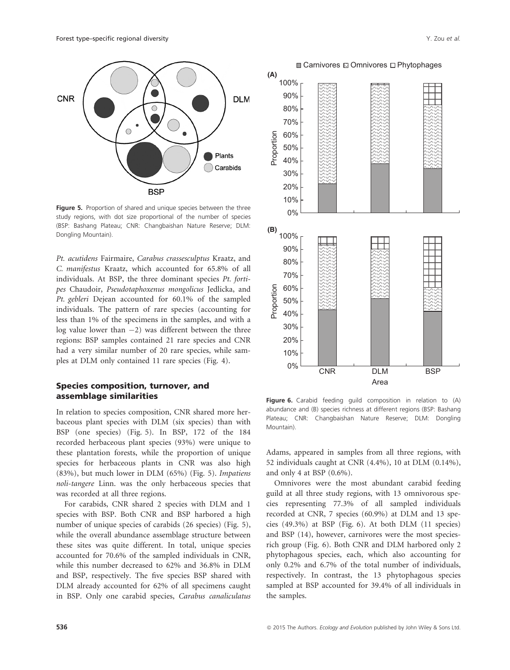

Figure 5. Proportion of shared and unique species between the three study regions, with dot size proportional of the number of species (BSP: Bashang Plateau; CNR: Changbaishan Nature Reserve; DLM: Dongling Mountain).

Pt. acutidens Fairmaire, Carabus crassesculptus Kraatz, and C. manifestus Kraatz, which accounted for 65.8% of all individuals. At BSP, the three dominant species Pt. fortipes Chaudoir, Pseudotaphoxenus mongolicus Jedlicka, and Pt. gebleri Dejean accounted for 60.1% of the sampled individuals. The pattern of rare species (accounting for less than 1% of the specimens in the samples, and with a  $log$  value lower than  $-2)$  was different between the three regions: BSP samples contained 21 rare species and CNR had a very similar number of 20 rare species, while samples at DLM only contained 11 rare species (Fig. 4).

### Species composition, turnover, and assemblage similarities

In relation to species composition, CNR shared more herbaceous plant species with DLM (six species) than with BSP (one species) (Fig. 5). In BSP, 172 of the 184 recorded herbaceous plant species (93%) were unique to these plantation forests, while the proportion of unique species for herbaceous plants in CNR was also high (83%), but much lower in DLM (65%) (Fig. 5). Impatiens noli-tangere Linn. was the only herbaceous species that was recorded at all three regions.

For carabids, CNR shared 2 species with DLM and 1 species with BSP. Both CNR and BSP harbored a high number of unique species of carabids (26 species) (Fig. 5), while the overall abundance assemblage structure between these sites was quite different. In total, unique species accounted for 70.6% of the sampled individuals in CNR, while this number decreased to 62% and 36.8% in DLM and BSP, respectively. The five species BSP shared with DLM already accounted for 62% of all specimens caught in BSP. Only one carabid species, Carabus canaliculatus



Figure 6. Carabid feeding guild composition in relation to (A) abundance and (B) species richness at different regions (BSP: Bashang Plateau; CNR: Changbaishan Nature Reserve; DLM: Dongling Mountain).

Adams, appeared in samples from all three regions, with 52 individuals caught at CNR (4.4%), 10 at DLM (0.14%), and only 4 at BSP (0.6%).

Omnivores were the most abundant carabid feeding guild at all three study regions, with 13 omnivorous species representing 77.3% of all sampled individuals recorded at CNR, 7 species (60.9%) at DLM and 13 species (49.3%) at BSP (Fig. 6). At both DLM (11 species) and BSP (14), however, carnivores were the most speciesrich group (Fig. 6). Both CNR and DLM harbored only 2 phytophagous species, each, which also accounting for only 0.2% and 6.7% of the total number of individuals, respectively. In contrast, the 13 phytophagous species sampled at BSP accounted for 39.4% of all individuals in the samples.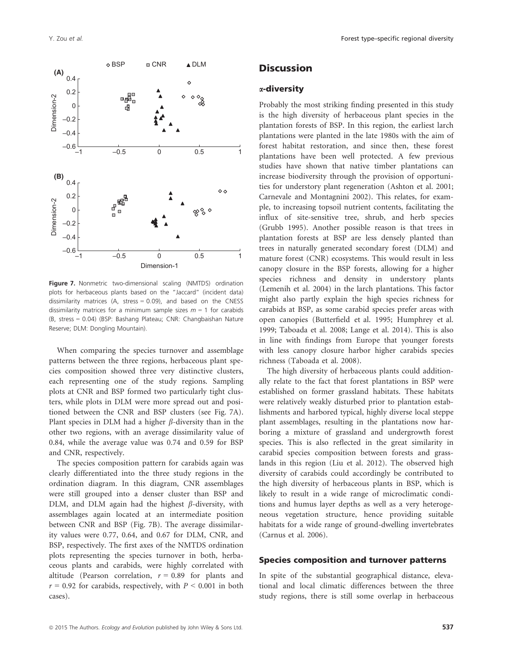

Figure 7. Nonmetric two-dimensional scaling (NMTDS) ordination plots for herbaceous plants based on the "Jaccard" (incident data) dissimilarity matrices (A, stress = 0.09), and based on the CNESS dissimilarity matrices for a minimum sample sizes  $m = 1$  for carabids (B, stress = 0.04) (BSP: Bashang Plateau; CNR: Changbaishan Nature Reserve; DLM: Dongling Mountain).

When comparing the species turnover and assemblage patterns between the three regions, herbaceous plant species composition showed three very distinctive clusters, each representing one of the study regions. Sampling plots at CNR and BSP formed two particularly tight clusters, while plots in DLM were more spread out and positioned between the CNR and BSP clusters (see Fig. 7A). Plant species in DLM had a higher  $\beta$ -diversity than in the other two regions, with an average dissimilarity value of 0.84, while the average value was 0.74 and 0.59 for BSP and CNR, respectively.

The species composition pattern for carabids again was clearly differentiated into the three study regions in the ordination diagram. In this diagram, CNR assemblages were still grouped into a denser cluster than BSP and DLM, and DLM again had the highest  $\beta$ -diversity, with assemblages again located at an intermediate position between CNR and BSP (Fig. 7B). The average dissimilarity values were 0.77, 0.64, and 0.67 for DLM, CNR, and BSP, respectively. The first axes of the NMTDS ordination plots representing the species turnover in both, herbaceous plants and carabids, were highly correlated with altitude (Pearson correlation,  $r = 0.89$  for plants and  $r = 0.92$  for carabids, respectively, with  $P \le 0.001$  in both cases).

# **Discussion**

### a-diversity

Probably the most striking finding presented in this study is the high diversity of herbaceous plant species in the plantation forests of BSP. In this region, the earliest larch plantations were planted in the late 1980s with the aim of forest habitat restoration, and since then, these forest plantations have been well protected. A few previous studies have shown that native timber plantations can increase biodiversity through the provision of opportunities for understory plant regeneration (Ashton et al. 2001; Carnevale and Montagnini 2002). This relates, for example, to increasing topsoil nutrient contents, facilitating the influx of site-sensitive tree, shrub, and herb species (Grubb 1995). Another possible reason is that trees in plantation forests at BSP are less densely planted than trees in naturally generated secondary forest (DLM) and mature forest (CNR) ecosystems. This would result in less canopy closure in the BSP forests, allowing for a higher species richness and density in understory plants (Lemenih et al. 2004) in the larch plantations. This factor might also partly explain the high species richness for carabids at BSP, as some carabid species prefer areas with open canopies (Butterfield et al. 1995; Humphrey et al. 1999; Taboada et al. 2008; Lange et al. 2014). This is also in line with findings from Europe that younger forests with less canopy closure harbor higher carabids species richness (Taboada et al. 2008).

The high diversity of herbaceous plants could additionally relate to the fact that forest plantations in BSP were established on former grassland habitats. These habitats were relatively weakly disturbed prior to plantation establishments and harbored typical, highly diverse local steppe plant assemblages, resulting in the plantations now harboring a mixture of grassland and undergrowth forest species. This is also reflected in the great similarity in carabid species composition between forests and grasslands in this region (Liu et al. 2012). The observed high diversity of carabids could accordingly be contributed to the high diversity of herbaceous plants in BSP, which is likely to result in a wide range of microclimatic conditions and humus layer depths as well as a very heterogeneous vegetation structure, hence providing suitable habitats for a wide range of ground-dwelling invertebrates (Carnus et al. 2006).

### Species composition and turnover patterns

In spite of the substantial geographical distance, elevational and local climatic differences between the three study regions, there is still some overlap in herbaceous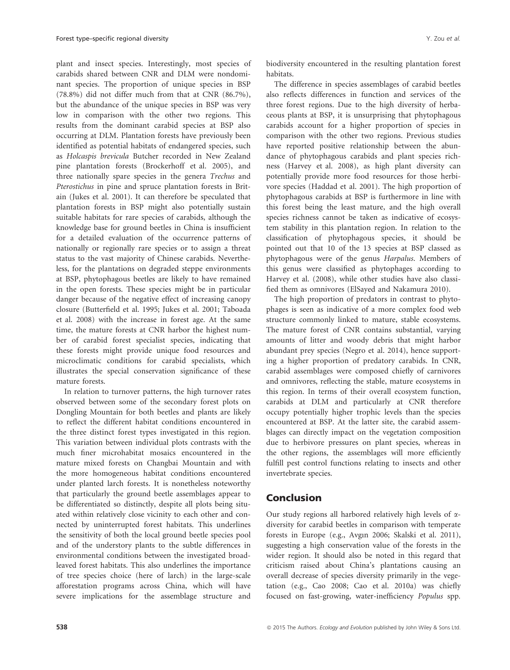plant and insect species. Interestingly, most species of carabids shared between CNR and DLM were nondominant species. The proportion of unique species in BSP (78.8%) did not differ much from that at CNR (86.7%), but the abundance of the unique species in BSP was very low in comparison with the other two regions. This results from the dominant carabid species at BSP also occurring at DLM. Plantation forests have previously been identified as potential habitats of endangered species, such as Holcaspis brevicula Butcher recorded in New Zealand pine plantation forests (Brockerhoff et al. 2005), and three nationally spare species in the genera Trechus and Pterostichus in pine and spruce plantation forests in Britain (Jukes et al. 2001). It can therefore be speculated that plantation forests in BSP might also potentially sustain suitable habitats for rare species of carabids, although the knowledge base for ground beetles in China is insufficient for a detailed evaluation of the occurrence patterns of nationally or regionally rare species or to assign a threat status to the vast majority of Chinese carabids. Nevertheless, for the plantations on degraded steppe environments at BSP, phytophagous beetles are likely to have remained in the open forests. These species might be in particular danger because of the negative effect of increasing canopy closure (Butterfield et al. 1995; Jukes et al. 2001; Taboada et al. 2008) with the increase in forest age. At the same time, the mature forests at CNR harbor the highest number of carabid forest specialist species, indicating that these forests might provide unique food resources and microclimatic conditions for carabid specialists, which illustrates the special conservation significance of these mature forests.

In relation to turnover patterns, the high turnover rates observed between some of the secondary forest plots on Dongling Mountain for both beetles and plants are likely to reflect the different habitat conditions encountered in the three distinct forest types investigated in this region. This variation between individual plots contrasts with the much finer microhabitat mosaics encountered in the mature mixed forests on Changbai Mountain and with the more homogeneous habitat conditions encountered under planted larch forests. It is nonetheless noteworthy that particularly the ground beetle assemblages appear to be differentiated so distinctly, despite all plots being situated within relatively close vicinity to each other and connected by uninterrupted forest habitats. This underlines the sensitivity of both the local ground beetle species pool and of the understory plants to the subtle differences in environmental conditions between the investigated broadleaved forest habitats. This also underlines the importance of tree species choice (here of larch) in the large-scale afforestation programs across China, which will have severe implications for the assemblage structure and biodiversity encountered in the resulting plantation forest habitats.

The difference in species assemblages of carabid beetles also reflects differences in function and services of the three forest regions. Due to the high diversity of herbaceous plants at BSP, it is unsurprising that phytophagous carabids account for a higher proportion of species in comparison with the other two regions. Previous studies have reported positive relationship between the abundance of phytophagous carabids and plant species richness (Harvey et al. 2008), as high plant diversity can potentially provide more food resources for those herbivore species (Haddad et al. 2001). The high proportion of phytophagous carabids at BSP is furthermore in line with this forest being the least mature, and the high overall species richness cannot be taken as indicative of ecosystem stability in this plantation region. In relation to the classification of phytophagous species, it should be pointed out that 10 of the 13 species at BSP classed as phytophagous were of the genus Harpalus. Members of this genus were classified as phytophages according to Harvey et al. (2008), while other studies have also classified them as omnivores (ElSayed and Nakamura 2010).

The high proportion of predators in contrast to phytophages is seen as indicative of a more complex food web structure commonly linked to mature, stable ecosystems. The mature forest of CNR contains substantial, varying amounts of litter and woody debris that might harbor abundant prey species (Negro et al. 2014), hence supporting a higher proportion of predatory carabids. In CNR, carabid assemblages were composed chiefly of carnivores and omnivores, reflecting the stable, mature ecosystems in this region. In terms of their overall ecosystem function, carabids at DLM and particularly at CNR therefore occupy potentially higher trophic levels than the species encountered at BSP. At the latter site, the carabid assemblages can directly impact on the vegetation composition due to herbivore pressures on plant species, whereas in the other regions, the assemblages will more efficiently fulfill pest control functions relating to insects and other invertebrate species.

# Conclusion

Our study regions all harbored relatively high levels of  $\alpha$ diversity for carabid beetles in comparison with temperate forests in Europe (e.g., Avgın 2006; Skalski et al. 2011), suggesting a high conservation value of the forests in the wider region. It should also be noted in this regard that criticism raised about China's plantations causing an overall decrease of species diversity primarily in the vegetation (e.g., Cao 2008; Cao et al. 2010a) was chiefly focused on fast-growing, water-inefficiency Populus spp.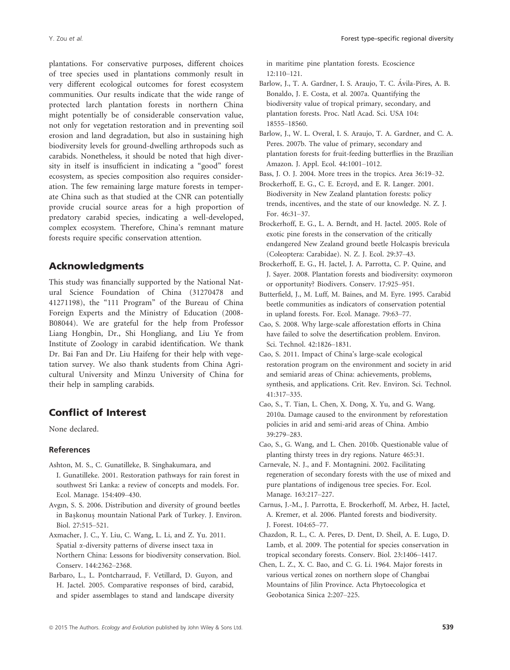plantations. For conservative purposes, different choices of tree species used in plantations commonly result in very different ecological outcomes for forest ecosystem communities. Our results indicate that the wide range of protected larch plantation forests in northern China might potentially be of considerable conservation value, not only for vegetation restoration and in preventing soil erosion and land degradation, but also in sustaining high biodiversity levels for ground-dwelling arthropods such as carabids. Nonetheless, it should be noted that high diversity in itself is insufficient in indicating a "good" forest ecosystem, as species composition also requires consideration. The few remaining large mature forests in temperate China such as that studied at the CNR can potentially provide crucial source areas for a high proportion of predatory carabid species, indicating a well-developed, complex ecosystem. Therefore, China's remnant mature forests require specific conservation attention.

# Acknowledgments

This study was financially supported by the National Natural Science Foundation of China (31270478 and 41271198), the "111 Program" of the Bureau of China Foreign Experts and the Ministry of Education (2008- B08044). We are grateful for the help from Professor Liang Hongbin, Dr., Shi Hongliang, and Liu Ye from Institute of Zoology in carabid identification. We thank Dr. Bai Fan and Dr. Liu Haifeng for their help with vegetation survey. We also thank students from China Agricultural University and Minzu University of China for their help in sampling carabids.

# Conflict of Interest

None declared.

#### References

- Ashton, M. S., C. Gunatilleke, B. Singhakumara, and I. Gunatilleke. 2001. Restoration pathways for rain forest in southwest Sri Lanka: a review of concepts and models. For. Ecol. Manage. 154:409–430.
- Avgın, S. S. 2006. Distribution and diversity of ground beetles in Baskonus mountain National Park of Turkey. J. Environ. Biol. 27:515–521.
- Axmacher, J. C., Y. Liu, C. Wang, L. Li, and Z. Yu. 2011. Spatial  $\alpha$ -diversity patterns of diverse insect taxa in Northern China: Lessons for biodiversity conservation. Biol. Conserv. 144:2362–2368.
- Barbaro, L., L. Pontcharraud, F. Vetillard, D. Guyon, and H. Jactel. 2005. Comparative responses of bird, carabid, and spider assemblages to stand and landscape diversity

in maritime pine plantation forests. Ecoscience 12:110–121.

- Barlow, J., T. A. Gardner, I. S. Araujo, T. C. Avila-Pires, A. B. Bonaldo, J. E. Costa, et al. 2007a. Quantifying the biodiversity value of tropical primary, secondary, and plantation forests. Proc. Natl Acad. Sci. USA 104: 18555–18560.
- Barlow, J., W. L. Overal, I. S. Araujo, T. A. Gardner, and C. A. Peres. 2007b. The value of primary, secondary and plantation forests for fruit-feeding butterflies in the Brazilian Amazon. J. Appl. Ecol. 44:1001–1012.
- Bass, J. O. J. 2004. More trees in the tropics. Area 36:19–32.
- Brockerhoff, E. G., C. E. Ecroyd, and E. R. Langer. 2001. Biodiversity in New Zealand plantation forests: policy trends, incentives, and the state of our knowledge. N. Z. J. For. 46:31–37.
- Brockerhoff, E. G., L. A. Berndt, and H. Jactel. 2005. Role of exotic pine forests in the conservation of the critically endangered New Zealand ground beetle Holcaspis brevicula (Coleoptera: Carabidae). N. Z. J. Ecol. 29:37–43.
- Brockerhoff, E. G., H. Jactel, J. A. Parrotta, C. P. Quine, and J. Sayer. 2008. Plantation forests and biodiversity: oxymoron or opportunity? Biodivers. Conserv. 17:925–951.
- Butterfield, J., M. Luff, M. Baines, and M. Eyre. 1995. Carabid beetle communities as indicators of conservation potential in upland forests. For. Ecol. Manage. 79:63–77.
- Cao, S. 2008. Why large-scale afforestation efforts in China have failed to solve the desertification problem. Environ. Sci. Technol. 42:1826–1831.
- Cao, S. 2011. Impact of China's large-scale ecological restoration program on the environment and society in arid and semiarid areas of China: achievements, problems, synthesis, and applications. Crit. Rev. Environ. Sci. Technol. 41:317–335.
- Cao, S., T. Tian, L. Chen, X. Dong, X. Yu, and G. Wang. 2010a. Damage caused to the environment by reforestation policies in arid and semi-arid areas of China. Ambio 39:279–283.
- Cao, S., G. Wang, and L. Chen. 2010b. Questionable value of planting thirsty trees in dry regions. Nature 465:31.
- Carnevale, N. J., and F. Montagnini. 2002. Facilitating regeneration of secondary forests with the use of mixed and pure plantations of indigenous tree species. For. Ecol. Manage. 163:217–227.
- Carnus, J.-M., J. Parrotta, E. Brockerhoff, M. Arbez, H. Jactel, A. Kremer, et al. 2006. Planted forests and biodiversity. J. Forest. 104:65–77.
- Chazdon, R. L., C. A. Peres, D. Dent, D. Sheil, A. E. Lugo, D. Lamb, et al. 2009. The potential for species conservation in tropical secondary forests. Conserv. Biol. 23:1406–1417.
- Chen, L. Z., X. C. Bao, and C. G. Li. 1964. Major forests in various vertical zones on northern slope of Changbai Mountains of Jilin Province. Acta Phytoecologica et Geobotanica Sinica 2:207–225.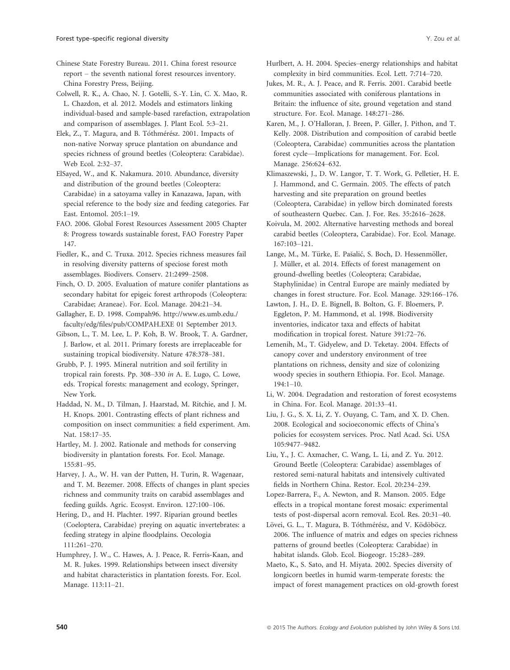Chinese State Forestry Bureau. 2011. China forest resource report – the seventh national forest resources inventory. China Forestry Press, Beijing.

Colwell, R. K., A. Chao, N. J. Gotelli, S.-Y. Lin, C. X. Mao, R. L. Chazdon, et al. 2012. Models and estimators linking individual-based and sample-based rarefaction, extrapolation and comparison of assemblages. J. Plant Ecol. 5:3–21.

Elek, Z., T. Magura, and B. Tóthmérész. 2001. Impacts of non-native Norway spruce plantation on abundance and species richness of ground beetles (Coleoptera: Carabidae). Web Ecol. 2:32–37.

ElSayed, W., and K. Nakamura. 2010. Abundance, diversity and distribution of the ground beetles (Coleoptera: Carabidae) in a satoyama valley in Kanazawa, Japan, with special reference to the body size and feeding categories. Far East. Entomol. 205:1–19.

FAO. 2006. Global Forest Resources Assessment 2005 Chapter 8: Progress towards sustainable forest, FAO Forestry Paper 147.

Fiedler, K., and C. Truxa. 2012. Species richness measures fail in resolving diversity patterns of speciose forest moth assemblages. Biodivers. Conserv. 21:2499–2508.

Finch, O. D. 2005. Evaluation of mature conifer plantations as secondary habitat for epigeic forest arthropods (Coleoptera: Carabidae; Araneae). For. Ecol. Manage. 204:21–34.

Gallagher, E. D. 1998. Compah96. [http://www.es.umb.edu./](http://www.es.umb.edu./faculty/edg/files/pub/COMPAH.EXE) [faculty/edg/files/pub/COMPAH.EXE](http://www.es.umb.edu./faculty/edg/files/pub/COMPAH.EXE) 01 September 2013.

Gibson, L., T. M. Lee, L. P. Koh, B. W. Brook, T. A. Gardner, J. Barlow, et al. 2011. Primary forests are irreplaceable for sustaining tropical biodiversity. Nature 478:378–381.

Grubb, P. J. 1995. Mineral nutrition and soil fertility in tropical rain forests. Pp. 308–330 in A. E. Lugo, C. Lowe, eds. Tropical forests: management and ecology, Springer, New York.

Haddad, N. M., D. Tilman, J. Haarstad, M. Ritchie, and J. M. H. Knops. 2001. Contrasting effects of plant richness and composition on insect communities: a field experiment. Am. Nat. 158:17–35.

Hartley, M. J. 2002. Rationale and methods for conserving biodiversity in plantation forests. For. Ecol. Manage. 155:81–95.

Harvey, J. A., W. H. van der Putten, H. Turin, R. Wagenaar, and T. M. Bezemer. 2008. Effects of changes in plant species richness and community traits on carabid assemblages and feeding guilds. Agric. Ecosyst. Environ. 127:100–106.

Hering, D., and H. Plachter. 1997. Riparian ground beetles (Coeloptera, Carabidae) preying on aquatic invertebrates: a feeding strategy in alpine floodplains. Oecologia 111:261–270.

Humphrey, J. W., C. Hawes, A. J. Peace, R. Ferris-Kaan, and M. R. Jukes. 1999. Relationships between insect diversity and habitat characteristics in plantation forests. For. Ecol. Manage. 113:11–21.

Hurlbert, A. H. 2004. Species–energy relationships and habitat complexity in bird communities. Ecol. Lett. 7:714–720.

Jukes, M. R., A. J. Peace, and R. Ferris. 2001. Carabid beetle communities associated with coniferous plantations in Britain: the influence of site, ground vegetation and stand structure. For. Ecol. Manage. 148:271–286.

Karen, M., J. O'Halloran, J. Breen, P. Giller, J. Pithon, and T. Kelly. 2008. Distribution and composition of carabid beetle (Coleoptera, Carabidae) communities across the plantation forest cycle—Implications for management. For. Ecol. Manage. 256:624–632.

Klimaszewski, J., D. W. Langor, T. T. Work, G. Pelletier, H. E. J. Hammond, and C. Germain. 2005. The effects of patch harvesting and site preparation on ground beetles (Coleoptera, Carabidae) in yellow birch dominated forests of southeastern Quebec. Can. J. For. Res. 35:2616–2628.

Koivula, M. 2002. Alternative harvesting methods and boreal carabid beetles (Coleoptera, Carabidae). For. Ecol. Manage. 167:103–121.

Lange, M., M. Türke, E. Pašalić, S. Boch, D. Hessenmöller, J. Müller, et al. 2014. Effects of forest management on ground-dwelling beetles (Coleoptera; Carabidae, Staphylinidae) in Central Europe are mainly mediated by changes in forest structure. For. Ecol. Manage. 329:166–176.

Lawton, J. H., D. E. Bignell, B. Bolton, G. F. Bloemers, P. Eggleton, P. M. Hammond, et al. 1998. Biodiversity inventories, indicator taxa and effects of habitat modification in tropical forest. Nature 391:72–76.

Lemenih, M., T. Gidyelew, and D. Teketay. 2004. Effects of canopy cover and understory environment of tree plantations on richness, density and size of colonizing woody species in southern Ethiopia. For. Ecol. Manage. 194:1–10.

Li, W. 2004. Degradation and restoration of forest ecosystems in China. For. Ecol. Manage. 201:33–41.

Liu, J. G., S. X. Li, Z. Y. Ouyang, C. Tam, and X. D. Chen. 2008. Ecological and socioeconomic effects of China's policies for ecosystem services. Proc. Natl Acad. Sci. USA 105:9477–9482.

Liu, Y., J. C. Axmacher, C. Wang, L. Li, and Z. Yu. 2012. Ground Beetle (Coleoptera: Carabidae) assemblages of restored semi-natural habitats and intensively cultivated fields in Northern China. Restor. Ecol. 20:234–239.

Lopez-Barrera, F., A. Newton, and R. Manson. 2005. Edge effects in a tropical montane forest mosaic: experimental tests of post-dispersal acorn removal. Ecol. Res. 20:31–40.

Lövei, G. L., T. Magura, B. Tóthmérész, and V. Ködöböcz. 2006. The influence of matrix and edges on species richness patterns of ground beetles (Coleoptera: Carabidae) in habitat islands. Glob. Ecol. Biogeogr. 15:283–289.

Maeto, K., S. Sato, and H. Miyata. 2002. Species diversity of longicorn beetles in humid warm-temperate forests: the impact of forest management practices on old-growth forest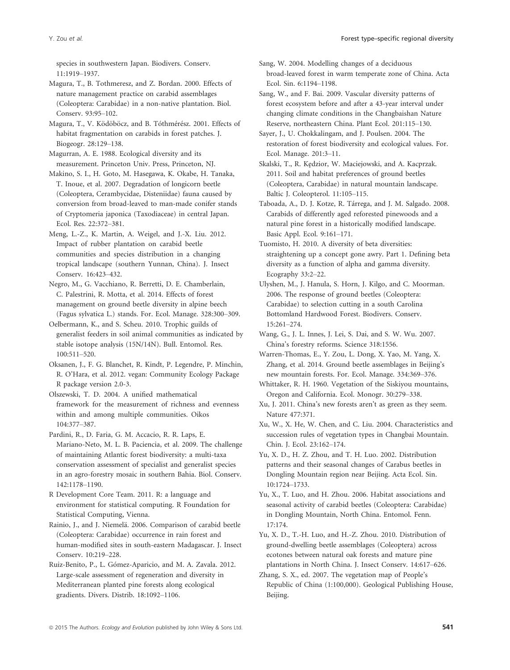species in southwestern Japan. Biodivers. Conserv. 11:1919–1937.

Magura, T., B. Tothmeresz, and Z. Bordan. 2000. Effects of nature management practice on carabid assemblages (Coleoptera: Carabidae) in a non-native plantation. Biol. Conserv. 93:95–102.

Magura, T., V. Ködöböcz, and B. Tóthmérész. 2001. Effects of habitat fragmentation on carabids in forest patches. J. Biogeogr. 28:129–138.

Magurran, A. E. 1988. Ecological diversity and its measurement. Princeton Univ. Press, Princeton, NJ.

Makino, S. I., H. Goto, M. Hasegawa, K. Okabe, H. Tanaka, T. Inoue, et al. 2007. Degradation of longicorn beetle (Coleoptera, Cerambycidae, Disteniidae) fauna caused by conversion from broad-leaved to man-made conifer stands of Cryptomeria japonica (Taxodiaceae) in central Japan. Ecol. Res. 22:372–381.

Meng, L.-Z., K. Martin, A. Weigel, and J.-X. Liu. 2012. Impact of rubber plantation on carabid beetle communities and species distribution in a changing tropical landscape (southern Yunnan, China). J. Insect Conserv. 16:423–432.

Negro, M., G. Vacchiano, R. Berretti, D. E. Chamberlain, C. Palestrini, R. Motta, et al. 2014. Effects of forest management on ground beetle diversity in alpine beech (Fagus sylvatica L.) stands. For. Ecol. Manage. 328:300–309.

Oelbermann, K., and S. Scheu. 2010. Trophic guilds of generalist feeders in soil animal communities as indicated by stable isotope analysis (15N/14N). Bull. Entomol. Res. 100:511–520.

Oksanen, J., F. G. Blanchet, R. Kindt, P. Legendre, P. Minchin, R. O'Hara, et al. 2012. vegan: Community Ecology Package R package version 2.0-3.

Olszewski, T. D. 2004. A unified mathematical framework for the measurement of richness and evenness within and among multiple communities. Oikos 104:377–387.

Pardini, R., D. Faria, G. M. Accacio, R. R. Laps, E. Mariano-Neto, M. L. B. Paciencia, et al. 2009. The challenge of maintaining Atlantic forest biodiversity: a multi-taxa conservation assessment of specialist and generalist species in an agro-forestry mosaic in southern Bahia. Biol. Conserv. 142:1178–1190.

R Development Core Team. 2011. R: a language and environment for statistical computing. R Foundation for Statistical Computing, Vienna.

Rainio, J., and J. Niemelä. 2006. Comparison of carabid beetle (Coleoptera: Carabidae) occurrence in rain forest and human-modified sites in south-eastern Madagascar. J. Insect Conserv. 10:219–228.

Ruiz-Benito, P., L. Gómez-Aparicio, and M. A. Zavala. 2012. Large-scale assessment of regeneration and diversity in Mediterranean planted pine forests along ecological gradients. Divers. Distrib. 18:1092–1106.

Sang, W. 2004. Modelling changes of a deciduous broad-leaved forest in warm temperate zone of China. Acta Ecol. Sin. 6:1194–1198.

Sang, W., and F. Bai. 2009. Vascular diversity patterns of forest ecosystem before and after a 43-year interval under changing climate conditions in the Changbaishan Nature Reserve, northeastern China. Plant Ecol. 201:115–130.

Sayer, J., U. Chokkalingam, and J. Poulsen. 2004. The restoration of forest biodiversity and ecological values. For. Ecol. Manage. 201:3–11.

Skalski, T., R. Kędzior, W. Maciejowski, and A. Kacprzak. 2011. Soil and habitat preferences of ground beetles (Coleoptera, Carabidae) in natural mountain landscape. Baltic J. Coleopterol. 11:105–115.

Taboada, A., D. J. Kotze, R. Tarrega, and J. M. Salgado. 2008. Carabids of differently aged reforested pinewoods and a natural pine forest in a historically modified landscape. Basic Appl. Ecol. 9:161–171.

Tuomisto, H. 2010. A diversity of beta diversities: straightening up a concept gone awry. Part 1. Defining beta diversity as a function of alpha and gamma diversity. Ecography 33:2–22.

Ulyshen, M., J. Hanula, S. Horn, J. Kilgo, and C. Moorman. 2006. The response of ground beetles (Coleoptera: Carabidae) to selection cutting in a south Carolina Bottomland Hardwood Forest. Biodivers. Conserv. 15:261–274.

Wang, G., J. L. Innes, J. Lei, S. Dai, and S. W. Wu. 2007. China's forestry reforms. Science 318:1556.

Warren-Thomas, E., Y. Zou, L. Dong, X. Yao, M. Yang, X. Zhang, et al. 2014. Ground beetle assemblages in Beijing's new mountain forests. For. Ecol. Manage. 334:369–376.

Whittaker, R. H. 1960. Vegetation of the Siskiyou mountains, Oregon and California. Ecol. Monogr. 30:279–338.

Xu, J. 2011. China's new forests aren't as green as they seem. Nature 477:371.

Xu, W., X. He, W. Chen, and C. Liu. 2004. Characteristics and succession rules of vegetation types in Changbai Mountain. Chin. J. Ecol. 23:162–174.

Yu, X. D., H. Z. Zhou, and T. H. Luo. 2002. Distribution patterns and their seasonal changes of Carabus beetles in Dongling Mountain region near Beijing. Acta Ecol. Sin. 10:1724–1733.

Yu, X., T. Luo, and H. Zhou. 2006. Habitat associations and seasonal activity of carabid beetles (Coleoptera: Carabidae) in Dongling Mountain, North China. Entomol. Fenn. 17:174.

Yu, X. D., T.-H. Luo, and H.-Z. Zhou. 2010. Distribution of ground-dwelling beetle assemblages (Coleoptera) across ecotones between natural oak forests and mature pine plantations in North China. J. Insect Conserv. 14:617–626.

Zhang, S. X., ed. 2007. The vegetation map of People's Republic of China (1:100,000). Geological Publishing House, Beijing.